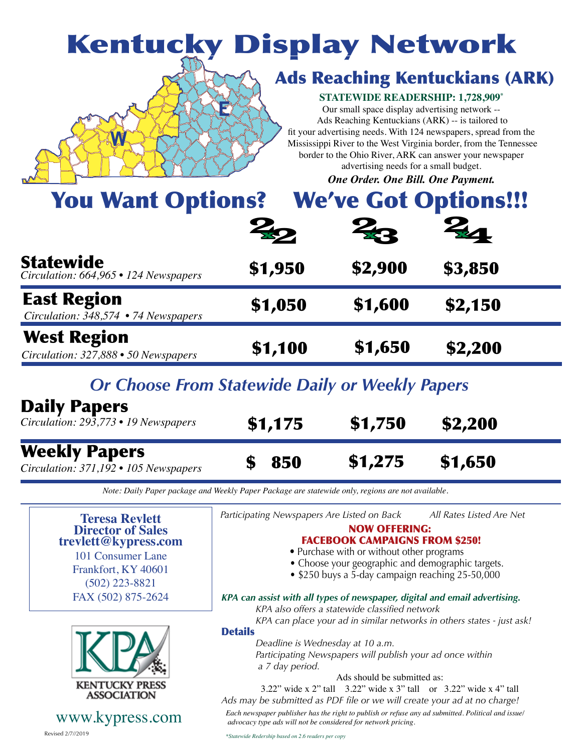| <b>Kentucky Display Network</b>                                                                                                                                 |                                                                                                                                                                                                                                                                                                                                                                                             |                                                                                                                                                                                                                             |                                                                                                                                                                                                                                                                          |
|-----------------------------------------------------------------------------------------------------------------------------------------------------------------|---------------------------------------------------------------------------------------------------------------------------------------------------------------------------------------------------------------------------------------------------------------------------------------------------------------------------------------------------------------------------------------------|-----------------------------------------------------------------------------------------------------------------------------------------------------------------------------------------------------------------------------|--------------------------------------------------------------------------------------------------------------------------------------------------------------------------------------------------------------------------------------------------------------------------|
| <b>You Want Options?</b>                                                                                                                                        |                                                                                                                                                                                                                                                                                                                                                                                             | <b>STATEWIDE READERSHIP: 1,728,909*</b><br>Our small space display advertising network --<br>Ads Reaching Kentuckians (ARK) -- is tailored to<br>advertising needs for a small budget.<br>One Order. One Bill. One Payment. | <b>Ads Reaching Kentuckians (ARK)</b><br>fit your advertising needs. With 124 newspapers, spread from the<br>Mississippi River to the West Virginia border, from the Tennessee<br>border to the Ohio River, ARK can answer your newspaper<br><b>We've Got Options!!!</b> |
|                                                                                                                                                                 |                                                                                                                                                                                                                                                                                                                                                                                             |                                                                                                                                                                                                                             |                                                                                                                                                                                                                                                                          |
| <b>Statewide</b><br>Circulation: 664,965 · 124 Newspapers                                                                                                       | \$1,950                                                                                                                                                                                                                                                                                                                                                                                     | \$2,900                                                                                                                                                                                                                     | \$3,850                                                                                                                                                                                                                                                                  |
| <b>East Region</b><br>Circulation: 348,574 • 74 Newspapers                                                                                                      | \$1,050                                                                                                                                                                                                                                                                                                                                                                                     | \$1,600                                                                                                                                                                                                                     | \$2,150                                                                                                                                                                                                                                                                  |
| <b>West Region</b><br>Circulation: 327,888 · 50 Newspapers                                                                                                      | \$1,100                                                                                                                                                                                                                                                                                                                                                                                     | \$1,650                                                                                                                                                                                                                     | \$2,200                                                                                                                                                                                                                                                                  |
| <b>Or Choose From Statewide Daily or Weekly Papers</b><br><b>Daily Papers</b>                                                                                   |                                                                                                                                                                                                                                                                                                                                                                                             |                                                                                                                                                                                                                             |                                                                                                                                                                                                                                                                          |
| Circulation: 293,773 • 19 Newspapers                                                                                                                            | \$1,175                                                                                                                                                                                                                                                                                                                                                                                     | \$1,750                                                                                                                                                                                                                     | \$2,200                                                                                                                                                                                                                                                                  |
| <b>Weekly Papers</b><br>Circulation: 371,192 • 105 Newspapers                                                                                                   | 850                                                                                                                                                                                                                                                                                                                                                                                         | \$1,275                                                                                                                                                                                                                     | \$1,650                                                                                                                                                                                                                                                                  |
| Note: Daily Paper package and Weekly Paper Package are statewide only, regions are not available.                                                               |                                                                                                                                                                                                                                                                                                                                                                                             |                                                                                                                                                                                                                             |                                                                                                                                                                                                                                                                          |
| <b>Teresa Revlett</b><br><b>Director of Sales</b><br>trevlett@kypress.com<br>101 Consumer Lane<br>Frankfort, KY 40601<br>$(502)$ 223-8821<br>FAX (502) 875-2624 | Participating Newspapers Are Listed on Back<br>All Rates Listed Are Net<br><b>NOW OFFERING:</b><br><b>FACEBOOK CAMPAIGNS FROM \$250!</b><br>• Purchase with or without other programs<br>• Choose your geographic and demographic targets.<br>• \$250 buys a 5-day campaign reaching 25-50,000<br>KPA can assist with all types of newspaper, digital and email advertising.                |                                                                                                                                                                                                                             |                                                                                                                                                                                                                                                                          |
| <b>KENTUCKY PRESS</b><br><b>ASSOCIATION</b>                                                                                                                     | KPA also offers a statewide classified network<br>KPA can place your ad in similar networks in others states - just ask!<br><b>Details</b><br>Deadline is Wednesday at 10 a.m.<br>Participating Newspapers will publish your ad once within<br>a 7 day period.<br>Ads should be submitted as:<br>3.22" wide x 2" tall $\left(3.22$ " wide x 3" tall or $\left(3.22\right)$ " wide x 4" tall |                                                                                                                                                                                                                             |                                                                                                                                                                                                                                                                          |

www.kypress.com

*\*Statewide Redership based on 2.6 readers per copy*

 *advocacy type ads will not be considered for network pricing.*

*Ads may be submitted as PDF file or we will create your ad at no charge! Each newspaper publisher has the right to publish or refuse any ad submitted. Political and issue/*